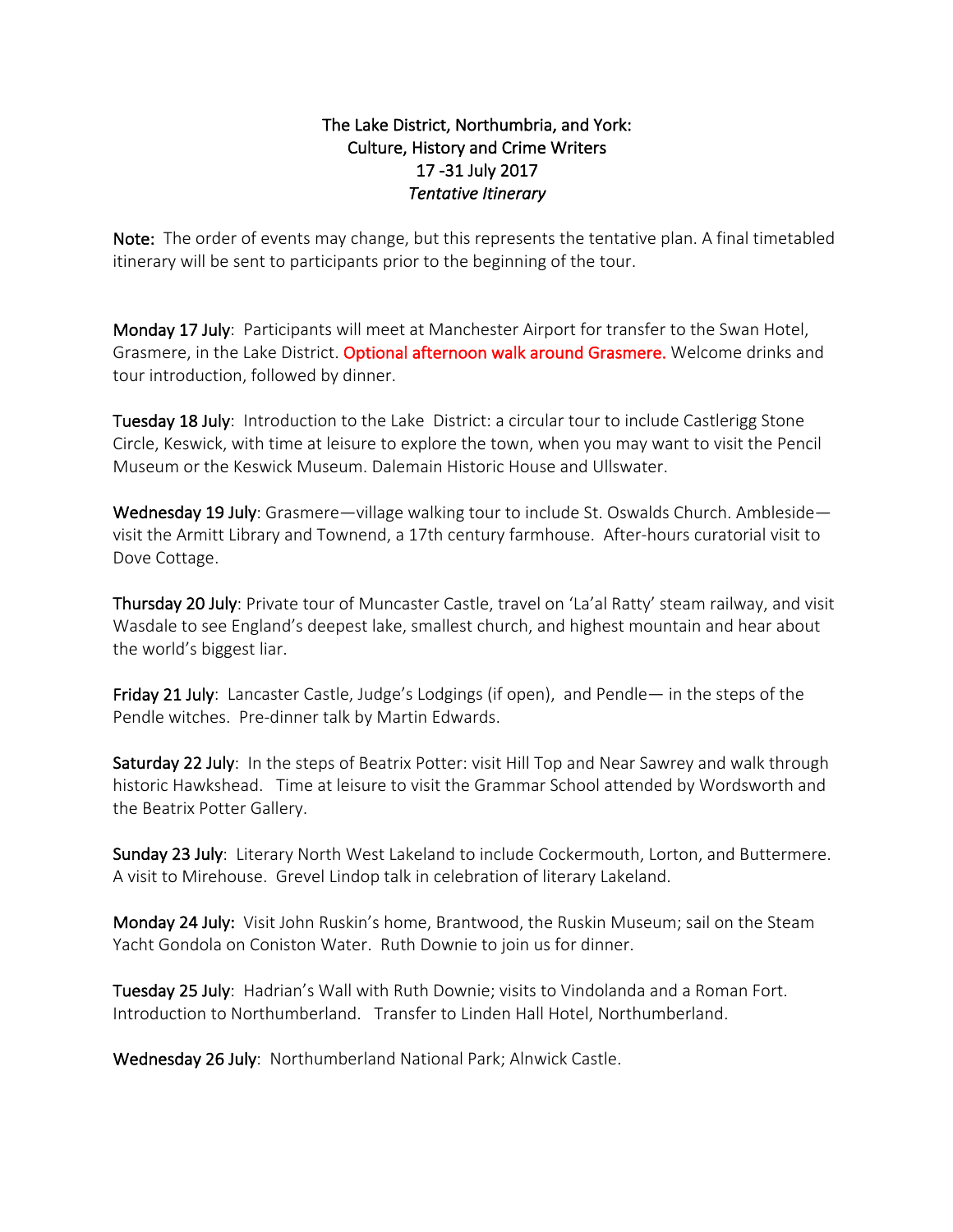## The Lake District, Northumbria, and York: Culture, History and Crime Writers 17 -31 July 2017 **Tentative Itinerary**

Note: The order of events may change, but this represents the tentative plan. A final timetabled itinerary will be sent to participants prior to the beginning of the tour.

Monday 17 July: Participants will meet at Manchester Airport for transfer to the Swan Hotel, Grasmere, in the Lake District. Optional afternoon walk around Grasmere. Welcome drinks and tour introduction, followed by dinner.

Tuesday 18 July: Introduction to the Lake District: a circular tour to include Castlerigg Stone Circle, Keswick, with time at leisure to explore the town, when you may want to visit the Pencil Museum or the Keswick Museum. Dalemain Historic House and Ullswater.

Wednesday 19 July: Grasmere—village walking tour to include St. Oswalds Church. Ambleside visit the Armitt Library and Townend, a 17th century farmhouse. After-hours curatorial visit to Dove Cottage.

Thursday 20 July: Private tour of Muncaster Castle, travel on 'La'al Ratty' steam railway, and visit Wasdale to see England's deepest lake, smallest church, and highest mountain and hear about the world's biggest liar.

Friday 21 July: Lancaster Castle, Judge's Lodgings (if open), and Pendle— in the steps of the Pendle witches. Pre-dinner talk by Martin Edwards.

Saturday 22 July: In the steps of Beatrix Potter: visit Hill Top and Near Sawrey and walk through historic Hawkshead. Time at leisure to visit the Grammar School attended by Wordsworth and the Beatrix Potter Gallery.

Sunday 23 July: Literary North West Lakeland to include Cockermouth, Lorton, and Buttermere. A visit to Mirehouse. Grevel Lindop talk in celebration of literary Lakeland.

Monday 24 July: Visit John Ruskin's home, Brantwood, the Ruskin Museum; sail on the Steam Yacht Gondola on Coniston Water. Ruth Downie to join us for dinner.

Tuesday 25 July: Hadrian's Wall with Ruth Downie; visits to Vindolanda and a Roman Fort. Introduction to Northumberland. Transfer to Linden Hall Hotel, Northumberland.

Wednesday 26 July: Northumberland National Park; Alnwick Castle.